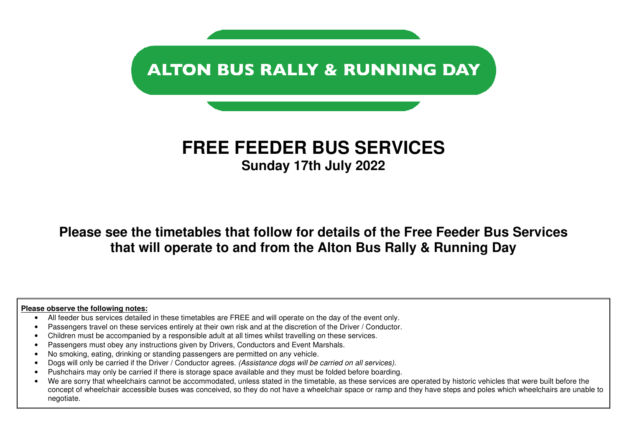

# **FREE FEEDER BUS SERVICES Sunday 17th July 2022**

**Please see the timetables that follow for details of the Free Feeder Bus Services that will operate to and from the Alton Bus Rally & Running Day** 

#### **Please observe the following notes:**

- All feeder bus services detailed in these timetables are FREE and will operate on the day of the event only.
- Passengers travel on these services entirely at their own risk and at the discretion of the Driver / Conductor.
- Children must be accompanied by a responsible adult at all times whilst travelling on these services.
- Passengers must obey any instructions given by Drivers, Conductors and Event Marshals.
- No smoking, eating, drinking or standing passengers are permitted on any vehicle.
- Dogs will only be carried if the Driver / Conductor agrees. (Assistance dogs will be carried on all services).
- Pushchairs may only be carried if there is storage space available and they must be folded before boarding.
- We are sorry that wheelchairs cannot be accommodated, unless stated in the timetable, as these services are operated by historic vehicles that were built before the concept of wheelchair accessible buses was conceived, so they do not have a wheelchair space or ramp and they have steps and poles which wheelchairs are unable to negotiate.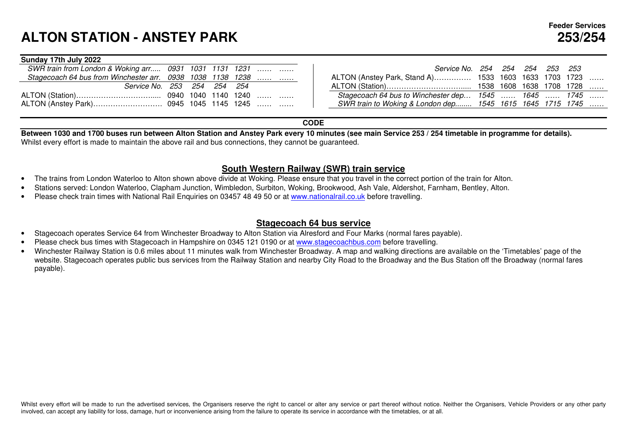#### **Sunday 17th July 2022**

| SWR train from London & Woking arr 0931 1031 1131 1231     |  |  |  |
|------------------------------------------------------------|--|--|--|
| Stagecoach 64 bus from Winchester arr. 0938 1038 1138 1238 |  |  |  |
| Service No. 253 254 254 254                                |  |  |  |
|                                                            |  |  |  |
|                                                            |  |  |  |

|               |  | 31 1031 1131 1231       | Service No. 254 254 254 253 253                           |  |  |  |
|---------------|--|-------------------------|-----------------------------------------------------------|--|--|--|
|               |  | 38 1038 1138 1238       | ALTON (Anstey Park, Stand A) 1533 1603 1633 1703 1723     |  |  |  |
| 3 254 254 254 |  |                         |                                                           |  |  |  |
|               |  | 0 1040 1140 1240        | Stagecoach 64 bus to Winchester dep 1545  1645  1745      |  |  |  |
|               |  | 15   1045   1145   1245 | SWR train to Woking & London dep 1545 1615 1645 1715 1745 |  |  |  |
|               |  |                         |                                                           |  |  |  |

### **CODE**

 **Between 1030 and 1700 buses run between Alton Station and Anstey Park every 10 minutes (see main Service 253 / 254 timetable in programme for details).** Whilst every effort is made to maintain the above rail and bus connections, they cannot be guaranteed.

### **South Western Railway (SWR) train service**

- The trains from London Waterloo to Alton shown above divide at Woking. Please ensure that you travel in the correct portion of the train for Alton.
- Stations served: London Waterloo, Clapham Junction, Wimbledon, Surbiton, Woking, Brookwood, Ash Vale, Aldershot, Farnham, Bentley, Alton.
- Please check train times with National Rail Enquiries on 03457 48 49 50 or at www.nationalrail.co.uk before travelling.

### **Stagecoach 64 bus service**

- Stagecoach operates Service 64 from Winchester Broadway to Alton Station via Alresford and Four Marks (normal fares payable).
- Please check bus times with Stagecoach in Hampshire on 0345 121 0190 or at www.stagecoachbus.com before travelling.
- Winchester Railway Station is 0.6 miles about 11 minutes walk from Winchester Broadway. A map and walking directions are available on the 'Timetables' page of the website. Stagecoach operates public bus services from the Railway Station and nearby City Road to the Broadway and the Bus Station off the Broadway (normal fares payable).

Whilst every effort will be made to run the advertised services, the Organisers reserve the right to cancel or alter any service or part thereof without notice. Neither the Organisers, Vehicle Providers or any other party involved, can accept any liability for loss, damage, hurt or inconvenience arising from the failure to operate its service in accordance with the timetables, or at all.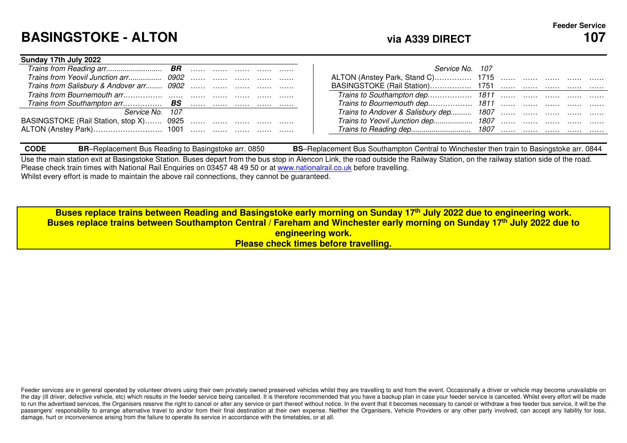# **BASINGSTOKE - ALTON**

**Sunday 17th July 2022** 

| Sunday Trin July 2022                    |  |  |  |                                        |  |
|------------------------------------------|--|--|--|----------------------------------------|--|
|                                          |  |  |  | Service No. 107                        |  |
|                                          |  |  |  | ALTON (Anstey Park, Stand C) 1715      |  |
| Trains from Salisbury & Andover arr 0902 |  |  |  |                                        |  |
|                                          |  |  |  |                                        |  |
|                                          |  |  |  | Trains to Bournemouth dep 1811         |  |
| Service No. 107                          |  |  |  | Trains to Andover & Salisbury dep 1807 |  |
| BASINGSTOKE (Rail Station, stop X) 0925  |  |  |  | Trains to Yeovil Junction dep 1807     |  |
|                                          |  |  |  |                                        |  |
|                                          |  |  |  |                                        |  |

| <b>CODE</b> | 0850<br>-Replacement Bus Reading to Basingstoke arr.<br>הוכ | -Replacement Bus Southampton Central to Winchester then train to Basingstoke arr. (<br><b>DC</b><br>0844<br>DЭ |
|-------------|-------------------------------------------------------------|----------------------------------------------------------------------------------------------------------------|

Use the main station exit at Basingstoke Station. Buses depart from the bus stop in Alencon Link, the road outside the Railway Station, on the railway station side of the road. Please check train times with National Rail Enquiries on 03457 48 49 50 or at www.nationalrail.co.uk before travelling. Whilst every effort is made to maintain the above rail connections, they cannot be guaranteed.

**Buses replace trains between Reading and Basingstoke early morning on Sunday 17th July 2022 due to engineering work. Buses replace trains between Southampton Central / Fareham and Winchester early morning on Sunday 17th July 2022 due to engineering work. Please check times before travelling.**

Feeder services are in general operated by volunteer drivers using their own privately owned preserved vehicles whilst they are travelling to and from the event. Occasionally a driver or vehicle may become unavailable on the day (ill driver, defective vehicle, etc) which results in the feeder service being cancelled. It is therefore recommended that you have a backup plan in case your feeder service is cancelled. Whilst every effort will b to run the advertised services, the Organisers reserve the right to cancel or alter any service or part thereof without notice. In the event that it becomes necessary to cancel or withdraw a free feeder bus service, it wil passengers' responsibility to arrange alternative travel to and/or from their final destination at their own expense. Neither the Organisers, Vehicle Providers or any other party involved, can accept any liability for loss damage, hurt or inconvenience arising from the failure to operate its service in accordance with the timetables, or at all.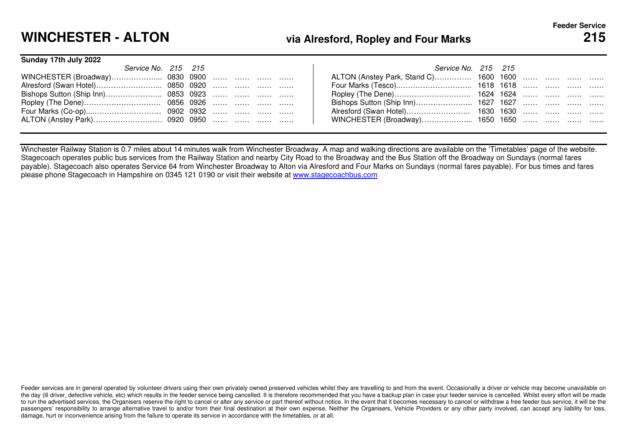# **WINCHESTER - ALTON**

## **via Alresford, Ropley and Four Marks <sup>215</sup>**

#### **Sunday 17th July 2022**

| Service No. 215 215 |  |  |  |
|---------------------|--|--|--|
|                     |  |  |  |
|                     |  |  |  |
|                     |  |  |  |
|                     |  |  |  |
|                     |  |  |  |
|                     |  |  |  |

| Vo. 215 215 |  |  |           | Service No. 215 215                    |  |  |  |
|-------------|--|--|-----------|----------------------------------------|--|--|--|
|             |  |  |           | ALTON (Anstey Park, Stand C) 1600 1600 |  |  |  |
|             |  |  | 0850 0920 |                                        |  |  |  |
|             |  |  | 0853 0923 |                                        |  |  |  |
|             |  |  | 0856 0926 |                                        |  |  |  |
|             |  |  | 0902 0932 |                                        |  |  |  |
|             |  |  | 0920 0950 | WINCHESTER (Broadway) 1650 1650        |  |  |  |
|             |  |  |           |                                        |  |  |  |

Winchester Railway Station is 0.7 miles about 14 minutes walk from Winchester Broadway. A map and walking directions are available on the 'Timetables' page of the website. Stagecoach operates public bus services from the Railway Station and nearby City Road to the Broadway and the Bus Station off the Broadway on Sundays (normal fares payable). Stagecoach also operates Service 64 from Winchester Broadway to Alton via Alresford and Four Marks on Sundays (normal fares payable). For bus times and fares please phone Stagecoach in Hampshire on 0345 121 0190 or visit their website at www.stagecoachbus.com

Feeder services are in general operated by volunteer drivers using their own privately owned preserved vehicles whilst they are travelling to and from the event. Occasionally a driver or vehicle may become unavailable on the day (ill driver, defective vehicle, etc) which results in the feeder service being cancelled. It is therefore recommended that you have a backup plan in case your feeder service is cancelled. Whilst every effort will b to run the advertised services, the Organisers reserve the right to cancel or alter any service or part thereof without notice. In the event that it becomes necessary to cancel or withdraw a free feeder bus service, it wil passengers' responsibility to arrange alternative travel to and/or from their final destination at their own expense. Neither the Organisers, Vehicle Providers or any other party involved, can accept any liability for loss damage, hurt or inconvenience arising from the failure to operate its service in accordance with the timetables, or at all.